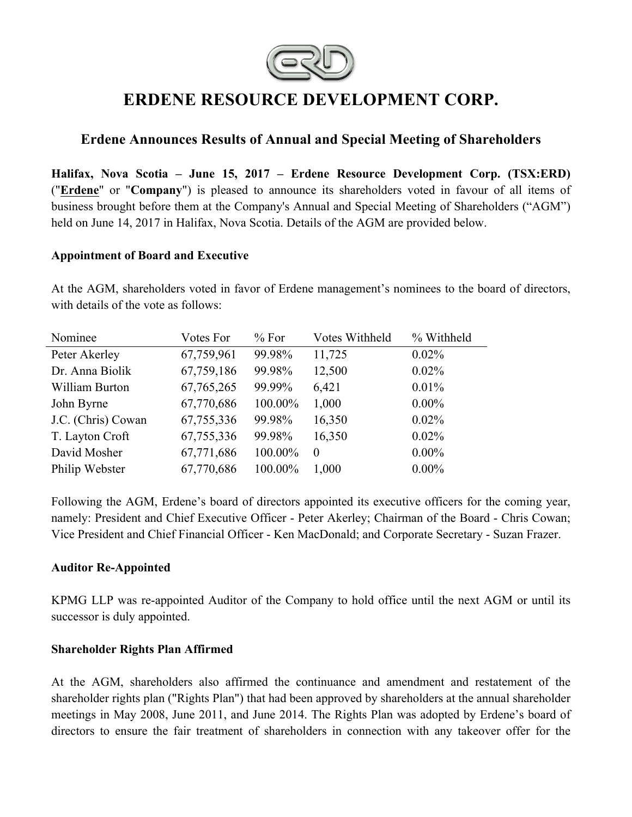

# **ERDENE RESOURCE DEVELOPMENT CORP.**

## **Erdene Announces Results of Annual and Special Meeting of Shareholders**

**Halifax, Nova Scotia – June 15, 2017 – Erdene Resource Development Corp. (TSX:ERD)**  ("**Erdene**" or "**Company**") is pleased to announce its shareholders voted in favour of all items of business brought before them at the Company's Annual and Special Meeting of Shareholders ("AGM") held on June 14, 2017 in Halifax, Nova Scotia. Details of the AGM are provided below.

#### **Appointment of Board and Executive**

At the AGM, shareholders voted in favor of Erdene management's nominees to the board of directors, with details of the vote as follows:

| Votes For    | % For   | Votes Withheld | % Withheld |
|--------------|---------|----------------|------------|
| 67,759,961   | 99.98%  | 11,725         | $0.02\%$   |
| 67,759,186   | 99.98%  | 12,500         | 0.02%      |
| 67, 765, 265 | 99.99%  | 6,421          | 0.01%      |
| 67,770,686   | 100.00% | 1,000          | $0.00\%$   |
| 67,755,336   | 99.98%  | 16,350         | 0.02%      |
| 67,755,336   | 99.98%  | 16,350         | $0.02\%$   |
| 67,771,686   | 100.00% | $\Omega$       | $0.00\%$   |
| 67,770,686   | 100.00% | 1,000          | $0.00\%$   |
|              |         |                |            |

Following the AGM, Erdene's board of directors appointed its executive officers for the coming year, namely: President and Chief Executive Officer - Peter Akerley; Chairman of the Board - Chris Cowan; Vice President and Chief Financial Officer - Ken MacDonald; and Corporate Secretary - Suzan Frazer.

## **Auditor Re-Appointed**

KPMG LLP was re-appointed Auditor of the Company to hold office until the next AGM or until its successor is duly appointed.

#### **Shareholder Rights Plan Affirmed**

At the AGM, shareholders also affirmed the continuance and amendment and restatement of the shareholder rights plan ("Rights Plan") that had been approved by shareholders at the annual shareholder meetings in May 2008, June 2011, and June 2014. The Rights Plan was adopted by Erdene's board of directors to ensure the fair treatment of shareholders in connection with any takeover offer for the